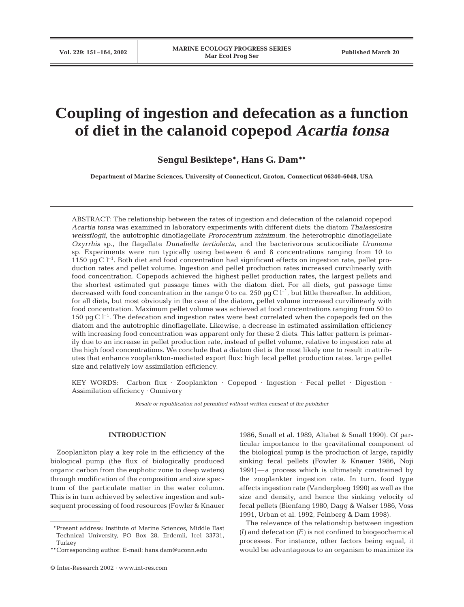# **Coupling of ingestion and defecation as a function of diet in the calanoid copepod** *Acartia tonsa*

**Sengul Besiktepe\*, Hans G. Dam\*\***

**Department of Marine Sciences, University of Connecticut, Groton, Connecticut 06340-6048, USA**

ABSTRACT: The relationship between the rates of ingestion and defecation of the calanoid copepod *Acartia tonsa* was examined in laboratory experiments with different diets: the diatom *Thalassiosira weissflogii*, the autotrophic dinoflagellate *Prorocentrum minimum*, the heterotrophic dinoflagellate *Oxyrrhis* sp., the flagellate *Dunaliella tertiolecta*, and the bacterivorous scuticociliate *Uronema* sp. Experiments were run typically using between 6 and 8 concentrations ranging from 10 to 1150  $\mu$ g C l<sup>-1</sup>. Both diet and food concentration had significant effects on ingestion rate, pellet production rates and pellet volume. Ingestion and pellet production rates increased curvilinearly with food concentration. Copepods achieved the highest pellet production rates, the largest pellets and the shortest estimated gut passage times with the diatom diet. For all diets, gut passage time decreased with food concentration in the range 0 to ca. 250  $\mu$ g C l<sup>-1</sup>, but little thereafter. In addition, for all diets, but most obviously in the case of the diatom, pellet volume increased curvilinearly with food concentration. Maximum pellet volume was achieved at food concentrations ranging from 50 to 150  $\mu$ g C l<sup>-1</sup>. The defecation and ingestion rates were best correlated when the copepods fed on the diatom and the autotrophic dinoflagellate. Likewise, a decrease in estimated assimilation efficiency with increasing food concentration was apparent only for these 2 diets. This latter pattern is primarily due to an increase in pellet production rate, instead of pellet volume, relative to ingestion rate at the high food concentrations. We conclude that a diatom diet is the most likely one to result in attributes that enhance zooplankton-mediated export flux: high fecal pellet production rates, large pellet size and relatively low assimilation efficiency.

KEY WORDS: Carbon flux · Zooplankton · Copepod · Ingestion · Fecal pellet · Digestion · Assimilation efficiency · Omnivory

*Resale or republication not permitted without written consent of the publisher*

# **INTRODUCTION**

Zooplankton play a key role in the efficiency of the biological pump (the flux of biologically produced organic carbon from the euphotic zone to deep waters) through modification of the composition and size spectrum of the particulate matter in the water column. This is in turn achieved by selective ingestion and subsequent processing of food resources (Fowler & Knauer 1986, Small et al. 1989, Altabet & Small 1990). Of particular importance to the gravitational component of the biological pump is the production of large, rapidly sinking fecal pellets (Fowler & Knauer 1986, Noji 1991)—a process which is ultimately constrained by the zooplankter ingestion rate. In turn, food type affects ingestion rate (Vanderploeg 1990) as well as the size and density, and hence the sinking velocity of fecal pellets (Bienfang 1980, Dagg & Walser 1986, Voss 1991, Urban et al. 1992, Feinberg & Dam 1998).

The relevance of the relationship between ingestion *(I)* and defecation *(E)* is not confined to biogeochemical processes. For instance, other factors being equal, it would be advantageous to an organism to maximize its

<sup>\*\*</sup>Present address: Institute of Marine Sciences, Middle East Technical University, PO Box 28, Erdemli, Icel 33731, Turkey

<sup>\*\*</sup>Corresponding author. E-mail: hans.dam@uconn.edu

<sup>©</sup> Inter-Research 2002 · www.int-res.com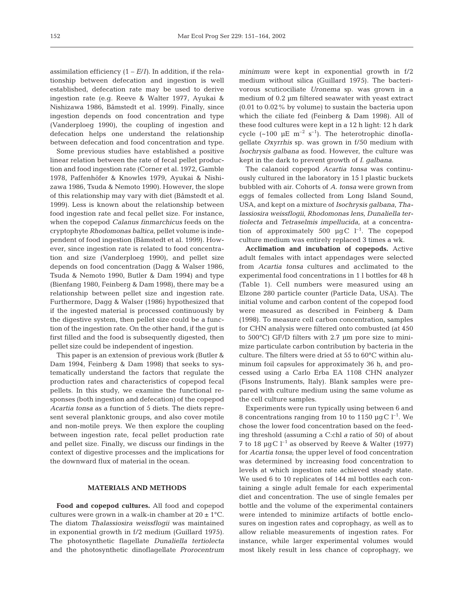assimilation efficiency  $(1 - E/I)$ . In addition, if the relationship between defecation and ingestion is well established, defecation rate may be used to derive ingestion rate (e.g. Reeve & Walter 1977, Ayukai & Nishizawa 1986, Båmstedt et al. 1999). Finally, since ingestion depends on food concentration and type (Vanderploeg 1990), the coupling of ingestion and defecation helps one understand the relationship between defecation and food concentration and type.

Some previous studies have established a positive linear relation between the rate of fecal pellet production and food ingestion rate (Corner et al. 1972, Gamble 1978, Paffenhöfer & Knowles 1979, Ayukai & Nishizawa 1986, Tsuda & Nemoto 1990). However, the slope of this relationship may vary with diet (Båmstedt et al. 1999). Less is known about the relationship between food ingestion rate and fecal pellet size. For instance, when the copepod *Calanus finmarchicus* feeds on the cryptophyte *Rhodomonas baltica*, pellet volume is independent of food ingestion (Båmstedt et al. 1999). However, since ingestion rate is related to food concentration and size (Vanderploeg 1990), and pellet size depends on food concentration (Dagg & Walser 1986, Tsuda & Nemoto 1990, Butler & Dam 1994) and type (Bienfang 1980, Feinberg & Dam 1998), there may be a relationship between pellet size and ingestion rate. Furthermore, Dagg & Walser (1986) hypothesized that if the ingested material is processed continuously by the digestive system, then pellet size could be a function of the ingestion rate. On the other hand, if the gut is first filled and the food is subsequently digested, then pellet size could be independent of ingestion.

This paper is an extension of previous work (Butler & Dam 1994, Feinberg & Dam 1998) that seeks to systematically understand the factors that regulate the production rates and characteristics of copepod fecal pellets. In this study, we examine the functional responses (both ingestion and defecation) of the copepod *Acartia tonsa* as a function of 5 diets. The diets represent several planktonic groups, and also cover motile and non-motile preys. We then explore the coupling between ingestion rate, fecal pellet production rate and pellet size. Finally, we discuss our findings in the context of digestive processes and the implications for the downward flux of material in the ocean.

## **MATERIALS AND METHODS**

**Food and copepod cultures.** All food and copepod cultures were grown in a walk-in chamber at  $20 \pm 1^{\circ}$ C. The diatom *Thalassiosira weissflogii* was maintained in exponential growth in f/2 medium (Guillard 1975). The photosynthetic flagellate *Dunaliella tertiolecta* and the photosynthetic dinoflagellate *Prorocentrum* *minimum* were kept in exponential growth in f/2 medium without silica (Guillard 1975). The bacterivorous scuticociliate *Uronema* sp. was grown in a medium of 0.2 µm filtered seawater with yeast extract (0.01 to 0.02% by volume) to sustain the bacteria upon which the ciliate fed (Feinberg & Dam 1998). All of these food cultures were kept in a 12 h light: 12 h dark cycle  $({\sim}100 \text{ }\mu\text{E m}^{-2} \text{ s}^{-1})$ . The heterotrophic dinoflagellate *Oxyrrhis* sp. was grown in f/50 medium with *Isochrysis galbana* as food. However, the culture was kept in the dark to prevent growth of *I. galbana*.

The calanoid copepod *Acartia tonsa* was continuously cultured in the laboratory in 15 l plastic buckets bubbled with air. Cohorts of *A. tonsa* were grown from eggs of females collected from Long Island Sound, USA, and kept on a mixture of *Isochrysis galbana*, *Thalassiosira weissflogii*, *Rhodomonas lens*, *Dunaliella tertiolecta* and *Tetraselmis impellucida*, at a concentration of approximately 500  $\mu$ gC l<sup>-1</sup>. The copepod culture medium was entirely replaced 3 times a wk.

**Acclimation and incubation of copepods.** Active adult females with intact appendages were selected from *Acartia tonsa* cultures and acclimated to the experimental food concentrations in 1 l bottles for 48 h (Table 1). Cell numbers were measured using an Elzone 280 particle counter (Particle Data, USA). The initial volume and carbon content of the copepod food were measured as described in Feinberg & Dam (1998). To measure cell carbon concentration, samples for CHN analysis were filtered onto combusted (at 450 to 500°C) GF/D filters with 2.7 µm pore size to minimize particulate carbon contribution by bacteria in the culture. The filters were dried at 55 to 60°C within aluminum foil capsules for approximately 36 h, and processed using a Carlo Erba EA 1108 CHN analyzer (Fisons Instruments, Italy). Blank samples were prepared with culture medium using the same volume as the cell culture samples.

Experiments were run typically using between 6 and 8 concentrations ranging from 10 to 1150  $\mu$ gC l<sup>-1</sup>. We chose the lower food concentration based on the feeding threshold (assuming a C:chl *a* ratio of 50) of about 7 to 18  $\mu$ gC l<sup>-1</sup> as observed by Reeve & Walter (1977) for *Acartia tonsa*; the upper level of food concentration was determined by increasing food concentration to levels at which ingestion rate achieved steady state. We used 6 to 10 replicates of 144 ml bottles each containing a single adult female for each experimental diet and concentration. The use of single females per bottle and the volume of the experimental containers were intended to minimize artifacts of bottle enclosures on ingestion rates and coprophagy, as well as to allow reliable measurements of ingestion rates. For instance, while larger experimental volumes would most likely result in less chance of coprophagy, we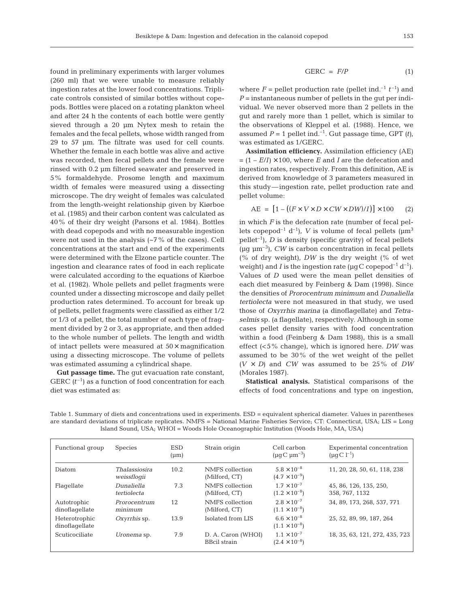found in preliminary experiments with larger volumes (260 ml) that we were unable to measure reliably ingestion rates at the lower food concentrations. Triplicate controls consisted of similar bottles without copepods. Bottles were placed on a rotating plankton wheel and after 24 h the contents of each bottle were gently sieved through a 20 µm Nytex mesh to retain the females and the fecal pellets, whose width ranged from 29 to 57 µm. The filtrate was used for cell counts. Whether the female in each bottle was alive and active was recorded, then fecal pellets and the female were rinsed with 0.2 µm filtered seawater and preserved in 5% formaldehyde. Prosome length and maximum width of females were measured using a dissecting microscope. The dry weight of females was calculated from the length-weight relationship given by Kiørboe et al. (1985) and their carbon content was calculated as 40% of their dry weight (Parsons et al*.* 1984). Bottles with dead copepods and with no measurable ingestion were not used in the analysis  $(-7\%$  of the cases). Cell concentrations at the start and end of the experiments were determined with the Elzone particle counter. The ingestion and clearance rates of food in each replicate were calculated according to the equations of Kiørboe et al. (1982). Whole pellets and pellet fragments were counted under a dissecting microscope and daily pellet production rates determined. To account for break up of pellets, pellet fragments were classified as either 1/2 or 1/3 of a pellet, the total number of each type of fragment divided by 2 or 3, as appropriate, and then added to the whole number of pellets. The length and width of intact pellets were measured at  $50\times$  magnification using a dissecting microscope. The volume of pellets was estimated assuming a cylindrical shape.

**Gut passage time.** The gut evacuation rate constant, GERC  $(t^{-1})$  as a function of food concentration for each diet was estimated as:

$$
GERC = F/P \tag{1}
$$

where  $F =$  pellet production rate (pellet ind.<sup>-1</sup>  $t^{-1}$ ) and  $P =$  instantaneous number of pellets in the gut per individual. We never observed more than 2 pellets in the gut and rarely more than 1 pellet, which is similar to the observations of Kleppel et al. (1988). Hence, we assumed  $P = 1$  pellet ind.<sup>-1</sup>. Gut passage time, GPT  $(t)$ , was estimated as 1/GERC.

**Assimilation efficiency.** Assimilation efficiency (AE)  $= (1 - E/I) \times 100$ , where *E* and *I* are the defecation and ingestion rates, respectively. From this definition, AE is derived from knowledge of 3 parameters measured in this study—ingestion rate, pellet production rate and pellet volume:

$$
AE = [1 - ((F \times V \times D \times CW \times DW)/I)] \times 100 \qquad (2)
$$

in which *F* is the defecation rate (number of fecal pellets copepod<sup>-1</sup> d<sup>-1</sup>), *V* is volume of fecal pellets ( $\mu$ m<sup>3</sup>) pellet<sup>-1</sup>), *D* is density (specific gravity) of fecal pellets ( $\mu$ g  $\mu$ m<sup>-3</sup>), *CW* is carbon concentration in fecal pellets (% of dry weight), *DW* is the dry weight (% of wet weight) and *I* is the ingestion rate ( $\mu$ gC copepod<sup>-1</sup> d<sup>-1</sup>). Values of *D* used were the mean pellet densities of each diet measured by Feinberg & Dam (1998). Since the densities of *Prorocentrum minimum* and *Dunaliella tertiolecta* were not measured in that study, we used those of *Oxyrrhis marina* (a dinoflagellate) and *Tetraselmis* sp. (a flagellate), respectively. Although in some cases pellet density varies with food concentration within a food (Feinberg & Dam 1988), this is a small effect (<5% change), which is ignored here. *DW* was assumed to be 30% of the wet weight of the pellet  $(V \times D)$  and *CW* was assumed to be 25% of *DW* (Morales 1987).

**Statistical analysis.** Statistical comparisons of the effects of food concentrations and type on ingestion,

| Functional group                | <b>Species</b>                      | <b>ESD</b><br>$(\mu m)$ | Strain origin                             | Cell carbon<br>$(\mu q C \mu m^{-3})$          | Experimental concentration<br>$(\mu q C l^{-1})$ |
|---------------------------------|-------------------------------------|-------------------------|-------------------------------------------|------------------------------------------------|--------------------------------------------------|
| Diatom                          | <i>Thalassiosira</i><br>weissflogii | 10.2                    | NMFS collection<br>(Milford, CT)          | $5.8 \times 10^{-8}$<br>$(4.7 \times 10^{-9})$ | 11, 20, 28, 50, 61, 118, 238                     |
| Flagellate                      | Dunaliella<br>tertiolecta           | 7.3                     | NMFS collection<br>(Milford, CT)          | $1.7 \times 10^{-7}$<br>$(1.2 \times 10^{-8})$ | 45, 86, 126, 135, 250,<br>358, 767, 1132         |
| Autotrophic<br>dinoflagellate   | Prorocentrum<br>minimum             | 12                      | NMFS collection<br>(Milford, CT)          | $2.8 \times 10^{-7}$<br>$(1.1 \times 10^{-8})$ | 34, 89, 173, 268, 537, 771                       |
| Heterotrophic<br>dinoflagellate | Oxyrrhis sp.                        | 13.9                    | Isolated from LIS                         | $6.6 \times 10^{-8}$<br>$(1.1 \times 10^{-8})$ | 25, 52, 89, 99, 187, 264                         |
| Scuticociliate                  | Uronema sp.                         | 7.9                     | D. A. Caron (WHOI)<br><b>BBcil strain</b> | $1.1 \times 10^{-7}$<br>$(2.4 \times 10^{-8})$ | 18, 35, 63, 121, 272, 435, 723                   |

Table 1. Summary of diets and concentrations used in experiments. ESD = equivalent spherical diameter. Values in parentheses are standard deviations of triplicate replicates. NMFS = National Marine Fisheries Service; CT: Connecticut, USA; LIS = Long Island Sound, USA; WHOI = Woods Hole Oceanographic Institution (Woods Hole, MA, USA)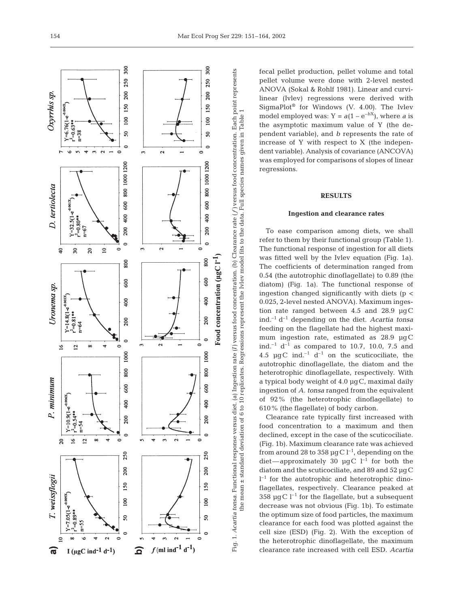

fecal pellet production, pellet volume and total pellet volume were done with 2-level nested ANOVA (Sokal & Rohlf 1981). Linear and curvilinear (Ivlev) regressions were derived with SigmaPlot ® for Windows (V. 4.00). The Ivlev model employed was:  $Y = a(1 - e^{-bX})$ , where a is the asymptotic maximum value of Y (the dependent variable), and *b* represents the rate of increase of Y with respect to X (the independent variable). Analysis of covariance (ANCOVA) was employed for comparisons of slopes of linear regressions.

## **RESULTS**

## **Ingestion and clearance rates**

To ease comparison among diets, we shall refer to them by their functional group (Table 1). The functional response of ingestion for all diets was fitted well by the Ivlev equation (Fig. 1a). The coefficients of determination ranged from 0.54 (the autotrophic dinoflagellate) to 0.89 (the diatom) (Fig. 1a). The functional response of ingestion changed significantly with diets ( $p <$ 0.025, 2-level nested ANOVA). Maximum ingestion rate ranged between 4.5 and 28.9 µgC ind.–1 d–1 depending on the diet. *Acartia tonsa* feeding on the flagellate had the highest maximum ingestion rate, estimated as 28.9 µgC ind.<sup>-1</sup> d<sup>-1</sup> as compared to 10.7, 10.0, 7.5 and 4.5  $\mu$ gC ind.<sup>-1</sup> d<sup>-1</sup> on the scuticociliate, the autotrophic dinoflagellate, the diatom and the heterotrophic dinoflagellate, respectively. With a typical body weight of 4.0 µgC, maximal daily ingestion of *A. tonsa* ranged from the equivalent of 92% (the heterotrophic dinoflagellate) to 610% (the flagellate) of body carbon.

Clearance rate typically first increased with food concentration to a maximum and then declined, except in the case of the scuticociliate *.* (Fig. 1b). Maximum clearance rate was achieved from around 28 to 358  $\mu$ g C l<sup>-1</sup>, depending on the diet—approximately 30  $\mu$ gC l<sup>-1</sup> for both the diatom and the scuticociliate, and 89 and 52 µgC  $l^{-1}$  for the autotrophic and heterotrophic dinoflagellates, respectively*.* Clearance peaked at 358  $\mu$ qC l<sup>-1</sup> for the flagellate, but a subsequent decrease was not obvious (Fig. 1b). To estimate the optimum size of food particles, the maximum clearance for each food was plotted against the cell size (ESD) (Fig. 2). With the exception of the heterotrophic dinoflagellate, the maximum clearance rate increased with cell ESD. *Acartia*

the mean ± standard deviation of 6 to 10 replicates. Regressions represent the Ivlev model fits to the data. Full species names given in Table 1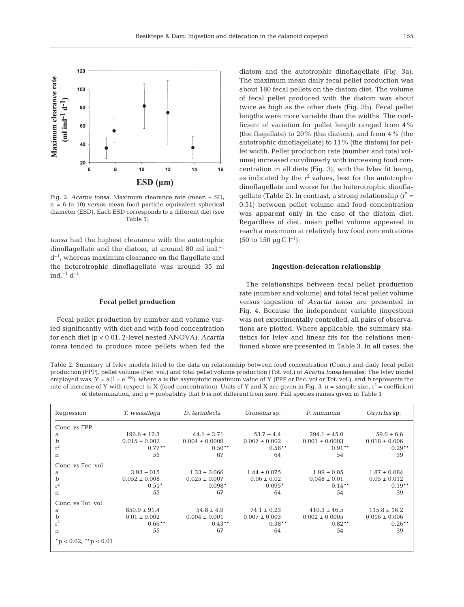

Fig. 2. *Acartia tonsa*. Maximum clearance rate (mean ± SD,  $n = 6$  to 10) versus mean food particle equivalent spherical diameter (ESD). Each ESD corresponds to a different diet (see Table 1)

*tonsa* had the highest clearance with the autotrophic dinoflagellate and the diatom, at around 80 ml ind. $^{-1}$  $d^{-1}$ , whereas maximum clearance on the flagellate and the heterotrophic dinoflagellate was around 35 ml  $ind.$ <sup>-1</sup>  $d^{-1}$ .

#### **Fecal pellet production**

Fecal pellet production by number and volume varied significantly with diet and with food concentration for each diet (p < 0.01, 2-level nested ANOVA). *Acartia tonsa* tended to produce more pellets when fed the diatom and the autotrophic dinoflagellate (Fig. 3a). The maximum mean daily fecal pellet production was about 180 fecal pellets on the diatom diet. The volume of fecal pellet produced with the diatom was about twice as high as the other diets (Fig. 3b). Fecal pellet lengths were more variable than the widths. The coefficient of variation for pellet length ranged from 4% (the flagellate) to 20% (the diatom), and from 4% (the autotrophic dinoflagellate) to 11% (the diatom) for pellet width. Pellet production rate (number and total volume) increased curvilinearly with increasing food concentration in all diets (Fig. 3), with the Ivlev fit being, as indicated by the  $r^2$  values, best for the autotrophic dinoflagellate and worse for the heterotrophic dinoflagellate (Table 2). In contrast, a strong relationship  $(r^2 =$ 0.51) between pellet volume and food concentration was apparent only in the case of the diatom diet. Regardless of diet, mean pellet volume appeared to reach a maximum at relatively low food concentrations  $(50 \text{ to } 150 \text{ µqC } l^{-1}).$ 

#### **Ingestion-defecation relationship**

The relationships between fecal pellet production rate (number and volume) and total fecal pellet volume versus ingestion of *Acartia tonsa* are presented in Fig. 4. Because the independent variable (ingestion) was not experimentally controlled, all pairs of observations are plotted. Where applicable, the summary statistics for Ivlev and linear fits for the relations mentioned above are presented in Table 3. In all cases, the

Table 2. Summary of Ivlev models fitted to the data on relationship between food concentration (Conc.) and daily fecal pellet production (FPP), pellet volume (Fec. vol.) and total pellet volume production (Tot. vol.) of *Acartia tonsa* females. The Ivlev model employed was:  $Y = a(1 - e^{-bX})$ , where *a* is the asymptotic maximum value of Y (FPP or Fec. vol or Tot. vol.), and *b* represents the rate of increase of Y with respect to X (food concentration). Units of Y and X are given in Fig. 3. n = sample size,  $r^2$  = coefficient of determination, and p = probability that *b* is not different from zero. Full species names given in Table 1

| Regression             | T. weissfloqii    | D. tertiolecta     | Uronema sp.       | P. minimum         | Oxyrrhis sp.      |  |
|------------------------|-------------------|--------------------|-------------------|--------------------|-------------------|--|
| Conc. vs FPP           |                   |                    |                   |                    |                   |  |
| а                      | $196.6 \pm 12.3$  | $44.1 \pm 3.71$    | $53.7 \pm 4.4$    | $294.1 \pm 45.0$   | $59.0 \pm 6.6$    |  |
| $\boldsymbol{b}$       | $0.015 \pm 0.002$ | $0.004 \pm 0.0009$ | $0.007 \pm 0.002$ | $0.001 \pm 0.0003$ | $0.018 \pm 0.006$ |  |
| $r^2$                  | $0.77***$         | $0.50**$           | $0.58**$          | $0.91**$           | $0.29**$          |  |
| n                      | 55                | 67                 | 64                | 54                 | 39                |  |
| Conc. vs Fec. vol.     |                   |                    |                   |                    |                   |  |
| a                      | $3.93 \pm 015$    | $1.33 \pm 0.066$   | $1.44 \pm 0.075$  | $1.99 \pm 0.05$    | $1.87 \pm 0.084$  |  |
| $\boldsymbol{b}$       | $0.052 \pm 0.008$ | $0.025 \pm 0.007$  | $0.06 \pm 0.02$   | $0.048 \pm 0.01$   | $0.05 \pm 0.012$  |  |
| $r^2$                  | $0.51*$           | $0.098*$           | $0.095*$          | $0.14***$          | $0.19**$          |  |
| $\mathbf n$            | 55                | 67                 | 64                | 54                 | 39                |  |
| Conc. vs Tot. vol.     |                   |                    |                   |                    |                   |  |
| а                      | $850.9 \pm 91.4$  | $54.8 \pm 4.9$     | $74.1 \pm 0.23$   | $410.3 \pm 46.5$   | $115.8 \pm 16.2$  |  |
| $\boldsymbol{b}$       | $0.01 \pm 0.002$  | $0.004 \pm 0.001$  | $0.007 \pm 0.003$ | $0.002 \pm 0.0005$ | $0.016 \pm 0.006$ |  |
| $r^2$                  | $0.66***$         | $0.43***$          | $0.38**$          | $0.82***$          | $0.26***$         |  |
| n                      | 55                | 67                 | 64                | 54                 | 39                |  |
| $*p < 0.02, *p < 0.01$ |                   |                    |                   |                    |                   |  |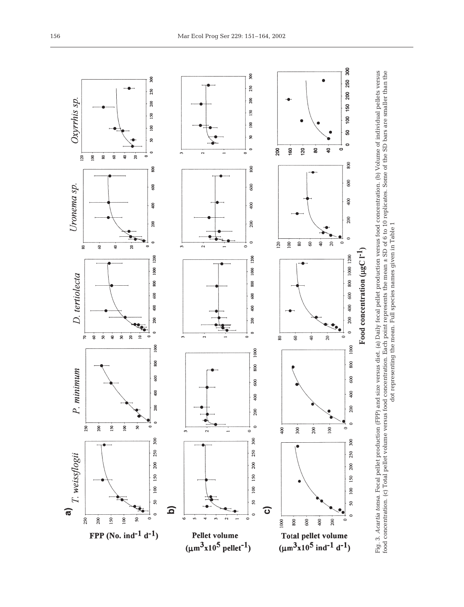

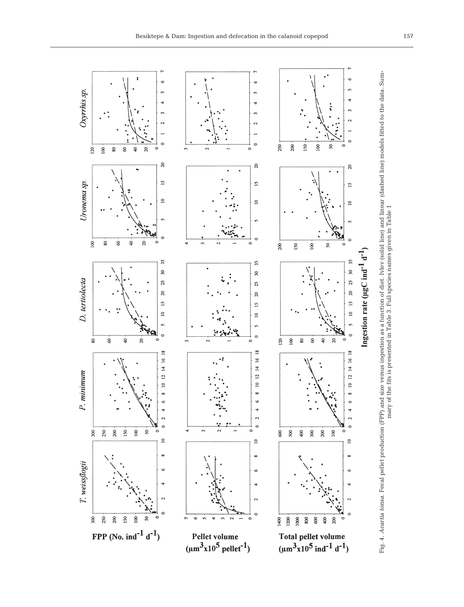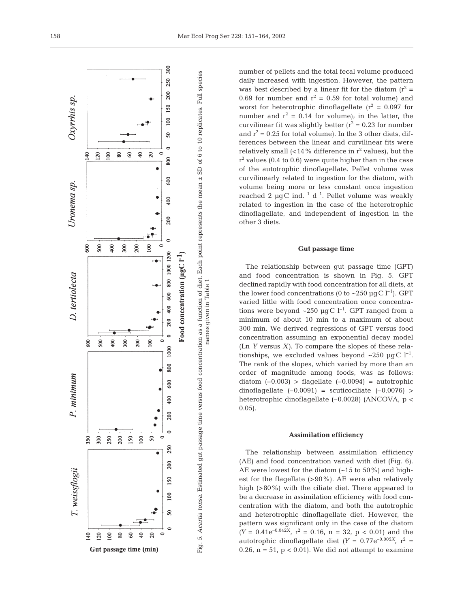

number of pellets and the total fecal volume produced daily increased with ingestion. However, the pattern was best described by a linear fit for the diatom  $(r^2 =$ 0.69 for number and  $r^2 = 0.59$  for total volume) and worst for heterotrophic dinoflagellate  $(r^2 = 0.097)$  for number and  $r^2 = 0.14$  for volume); in the latter, the curvilinear fit was slightly better  $(r^2 = 0.23$  for number and  $r^2$  = 0.25 for total volume). In the 3 other diets, differences between the linear and curvilinear fits were relatively small  $\langle$  <14% difference in r<sup>2</sup> values), but the  $r^2$  values (0.4 to 0.6) were quite higher than in the case of the autotrophic dinoflagellate. Pellet volume was curvilinearly related to ingestion for the diatom, with volume being more or less constant once ingestion reached 2  $\mu$ gC ind.<sup>-1</sup> d<sup>-1</sup>. Pellet volume was weakly related to ingestion in the case of the heterotrophic dinoflagellate, and independent of ingestion in the other 3 diets.

#### **Gut passage time**

The relationship between gut passage time (GPT) and food concentration is shown in Fig. 5. GPT declined rapidly with food concentration for all diets, at the lower food concentrations (0 to  $\sim$ 250 µgC l<sup>-1</sup>). GPT varied little with food concentration once concentrations were beyond ~250  $\mu$ gC l<sup>-1</sup>. GPT ranged from a minimum of about 10 min to a maximum of about 300 min. We derived regressions of GPT versus food concentration assuming an exponential decay model (Ln *Y* versus *X)*. To compare the slopes of these relationships, we excluded values beyond  $\sim$ 250 µgC l<sup>-1</sup>. The rank of the slopes, which varied by more than an order of magnitude among foods, was as follows: diatom  $(-0.003)$  > flagellate  $(-0.0094)$  = autotrophic dinoflagellate  $(-0.0091)$  = scuticociliate  $(-0.0076)$  > heterotrophic dinoflagellate (–0.0028) (ANCOVA, p < 0.05).

#### **Assimilation efficiency**

The relationship between assimilation efficiency (AE) and food concentration varied with diet (Fig. 6). AE were lowest for the diatom (~15 to 50%) and highest for the flagellate (>90%). AE were also relatively high (>80%) with the ciliate diet. There appeared to be a decrease in assimilation efficiency with food concentration with the diatom, and both the autotrophic and heterotrophic dinoflagellate diet. However, the pattern was significant only in the case of the diatom  $(Y = 0.41e^{-0.042X}$ ,  $r^2 = 0.16$ ,  $n = 32$ ,  $p < 0.01$ ) and the autotrophic dinoflagellate diet  $(Y = 0.77e^{-0.005X}$ ,  $r^2 =$ 0.26,  $n = 51$ ,  $p < 0.01$ ). We did not attempt to examine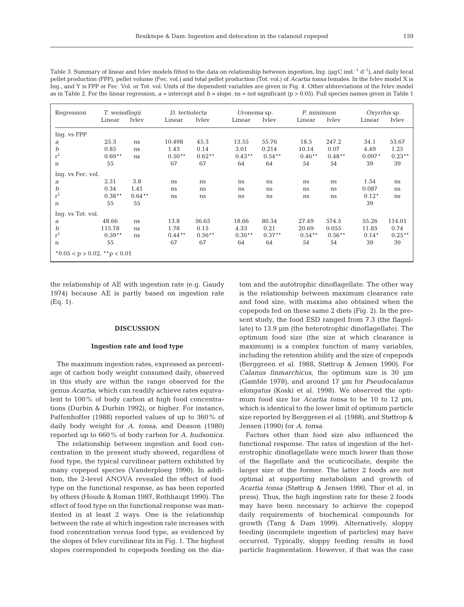| Regression        |           | T. weissfloqii |           | D. tertiolecta |           | Uronema sp. |           | P. minimum   |          | Oxyrrhis sp. |  |
|-------------------|-----------|----------------|-----------|----------------|-----------|-------------|-----------|--------------|----------|--------------|--|
|                   | Linear    | Ivley          | Linear    | <b>Ivley</b>   | Linear    | Ivley       | Linear    | <b>Ivley</b> | Linear   | Ivley        |  |
| Ing. vs FPP       |           |                |           |                |           |             |           |              |          |              |  |
| а                 | 25.3      | ns             | 10.498    | 45.3           | 13.55     | 55.76       | 18.5      | 247.2        | 34.1     | 53.67        |  |
| b                 | 0.85      | ns             | 1.43      | 0.14           | 3.01      | 0.214       | 10.14     | 0.07         | 4.49     | 1.25         |  |
| $\rm r^2$         | $0.69**$  | ns             | $0.50**$  | $0.62**$       | $0.43***$ | $0.54***$   | $0.46**$  | $0.48**$     | $0.097*$ | $0.23***$    |  |
| n                 | 55        |                | 67        | 67             | 64        | 64          | 54        | 54           | 39       | 39           |  |
| Ing. vs Fec. vol. |           |                |           |                |           |             |           |              |          |              |  |
| а                 | 2.31      | 3.8            | ns        | ns             | ns        | ns          | ns        | ns           | 1.54     | ns           |  |
| b                 | 0.34      | 1.41           | ns        | ns             | ns        | ns          | ns        | ns           | 0.087    | ns           |  |
| $r^2$             | $0.38***$ | $0.64***$      | ns        | ns             | ns        | ns          | ns        | ns           | $0.12*$  | ns           |  |
| n                 | 55        | 55             |           |                |           |             |           |              | 39       |              |  |
| Ing. vs Tot. vol. |           |                |           |                |           |             |           |              |          |              |  |
| a                 | 48.66     | ns             | 13.8      | 56.65          | 18.66     | 80.34       | 27.49     | 574.5        | 55.26    | 114.01       |  |
| b                 | 115.78    | ns             | 1.78      | 0.15           | 4.33      | 0.21        | 20.69     | 0.055        | 11.85    | 0.74         |  |
| $\rm r^2$         | $0.59**$  | ns             | $0.44***$ | $0.56**$       | $0.30**$  | $0.37***$   | $0.54***$ | $0.56**$     | $0.14*$  | $0.25***$    |  |
| $\mathbf n$       | 55        |                | 67        | 67             | 64        | 64          | 54        | 54           | 39       | 39           |  |

Table 3. Summary of linear and Ivlev models fitted to the data on relationship between ingestion, Ing. ( $\mu qC$  ind.<sup>-1</sup> d<sup>-1</sup>), and daily fecal pellet production (FPP), pellet volume (Fec. vol.) and total pellet production (Tot. vol.) of *Acartia tonsa* females. In the Ivlev model X is Ing., and Y is FPP or Fec. Vol. or Tot. vol. Units of the dependent variables are given in Fig. 4. Other abbreviations of the Ivlev model as in Table 2. For the linear regression, *a* = intercept and *b* = slope. ns = not significant (p > 0.05). Full species names given in Table 1

the relationship of AE with ingestion rate (e.g. Gaudy 1974) because AE is partly based on ingestion rate (Eq. 1).

# **DISCUSSION**

#### **Ingestion rate and food type**

The maximum ingestion rates, expressed as percentage of carbon body weight consumed daily, observed in this study are within the range observed for the genus *Acartia*, which can readily achieve rates equivalent to 100% of body carbon at high food concentrations (Durbin & Durbin 1992), or higher. For instance, Paffenhoffer (1988) reported values of up to 360% of daily body weight for *A. tonsa*, and Deason (1980) reported up to 660% of body carbon for *A. hudsonica*.

The relationship between ingestion and food concentration in the present study showed, regardless of food type, the typical curvilinear pattern exhibited by many copepod species (Vanderploeg 1990). In addition, the 2-level ANOVA revealed the effect of food type on the functional response, as has been reported by others (Houde & Roman 1987, Rothhaupt 1990). The effect of food type on the functional response was manifested in at least 2 ways. One is the relationship between the rate at which ingestion rate increases with food concentration versus food type, as evidenced by the slopes of Ivlev curvilinear fits in Fig. 1. The highest slopes corresponded to copepods feeding on the diatom and the autotrophic dinoflagellate. The other way is the relationship between maximum clearance rate and food size, with maxima also obtained when the copepods fed on these same 2 diets (Fig. 2). In the present study, the food ESD ranged from 7.3 (the flagellate) to 13.9 µm (the heterotrophic dinoflagellate). The optimum food size (the size at which clearance is maximum) is a complex function of many variables, including the retention ability and the size of copepods (Berggreen et al. 1988, Støttrup & Jensen 1990). For *Calanus finmarchicus*, the optimum size is 30 µm (Gamble 1978), and around 17 µm for *Pseudocalanus elongatus* (Koski et al. 1998). We observed the optimum food size for *Acartia tonsa* to be 10 to 12 µm, which is identical to the lower limit of optimum particle size reported by Berggreen et al. (1988), and Støttrop & Jensen (1990) for *A. tonsa*.

Factors other than food size also influenced the functional response. The rates of ingestion of the heterotrophic dinoflagellate were much lower than those of the flagellate and the scuticociliate*,* despite the larger size of the former. The latter 2 foods are not optimal at supporting metabolism and growth of *Acartia tonsa* (Støttrup & Jensen 1990, Thor et al. in press). Thus, the high ingestion rate for these 2 foods may have been necessary to achieve the copepod daily requirements of biochemical compounds for growth (Tang & Dam 1999). Alternatively, sloppy feeding (incomplete ingestion of particles) may have occurred. Typically, sloppy feeding results in food particle fragmentation. However, if that was the case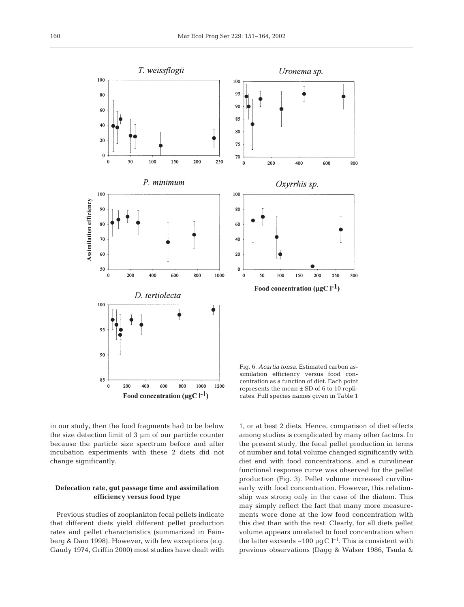

in our study, then the food fragments had to be below the size detection limit of 3 µm of our particle counter because the particle size spectrum before and after incubation experiments with these 2 diets did not change significantly.

# **Defecation rate, gut passage time and assimilation efficiency versus food type**

Previous studies of zooplankton fecal pellets indicate that different diets yield different pellet production rates and pellet characteristics (summarized in Feinberg & Dam 1998). However, with few exceptions (e.g. Gaudy 1974, Griffin 2000) most studies have dealt with

1, or at best 2 diets. Hence, comparison of diet effects among studies is complicated by many other factors. In the present study, the fecal pellet production in terms of number and total volume changed significantly with diet and with food concentrations, and a curvilinear functional response curve was observed for the pellet production (Fig. 3). Pellet volume increased curvilinearly with food concentration. However, this relationship was strong only in the case of the diatom. This may simply reflect the fact that many more measurements were done at the low food concentration with this diet than with the rest. Clearly, for all diets pellet volume appears unrelated to food concentration when the latter exceeds  $\sim$ 100 µgC l<sup>-1</sup>. This is consistent with previous observations (Dagg & Walser 1986, Tsuda &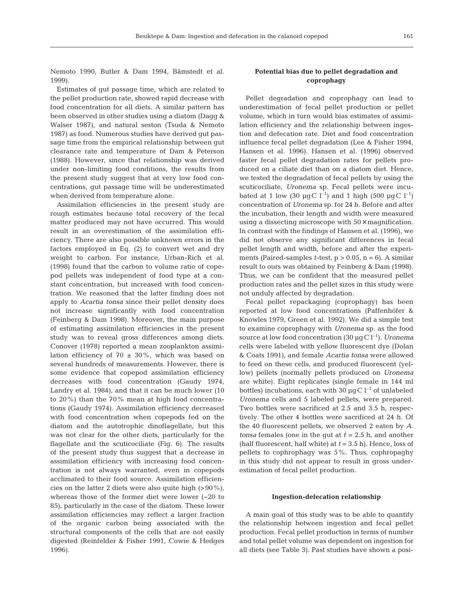Nemoto 1990, Butler & Dam 1994, Båmstedt et al. 1999).

Estimates of gut passage time, which are related to the pellet production rate, showed rapid decrease with food concentration for all diets. A similar pattern has been observed in other studies using a diatom (Dagg & Walser 1987), and natural seston (Tsuda & Nemoto 1987) as food. Numerous studies have derived gut passage time from the empirical relationship between gut clearance rate and temperature of Dam & Peterson (1988). However, since that relationship was derived under non-limiting food conditions, the results from the present study suggest that at very low food concentrations, gut passage time will be underestimated when derived from temperature alone.

Assimilation efficiencies in the present study are rough estimates because total recovery of the fecal matter produced may not have occurred. This would result in an overestimation of the assimilation efficiency. There are also possible unknown errors in the factors employed in Eq. (2) to convert wet and dry weight to carbon. For instance, Urban-Rich et al. (1998) found that the carbon to volume ratio of copepod pellets was independent of food type at a constant concentration, but increased with food concentration. We reasoned that the latter finding does not apply to *Acartia tonsa* since their pellet density does not increase significantly with food concentration (Feinberg & Dam 1998). Moreover, the main purpose of estimating assimilation efficiencies in the present study was to reveal gross differences among diets. Conover (1978) reported a mean zooplankton assimilation efficiency of 70  $\pm$  30%, which was based on several hundreds of measurements. However, there is some evidence that copepod assimilation efficiency decreases with food concentration (Gaudy 1974, Landry et al. 1984), and that it can be much lower (10 to 20%) than the 70% mean at high food concentrations (Gaudy 1974). Assimilation efficiency decreased with food concentration when copepods fed on the diatom and the autotrophic dinoflagellate, but this was not clear for the other diets, particularly for the flagellate and the scuticociliate (Fig. 6). The results of the present study thus suggest that a decrease in assimilation efficiency with increasing food concentration is not always warranted, even in copepods acclimated to their food source. Assimilation efficiencies on the latter 2 diets were also quite high  $(>90\%)$ , whereas those of the former diet were lower (~20 to 85), particularly in the case of the diatom. These lower assimilation efficiencies may reflect a larger fraction of the organic carbon being associated with the structural components of the cells that are not easily digested (Reinfelder & Fisher 1991, Cowie & Hedges 1996).

# **Potential bias due to pellet degradation and coprophagy**

Pellet degradation and coprophagy can lead to underestimation of fecal pellet production or pellet volume, which in turn would bias estimates of assimilation efficiency and the relationship between ingestion and defecation rate. Diet and food concentration influence fecal pellet degradation (Lee & Fisher 1994, Hansen et al. 1996). Hansen et al. (1996) observed faster fecal pellet degradation rates for pellets produced on a ciliate diet than on a diatom diet. Hence, we tested the degradation of fecal pellets by using the scuticociliate, *Uronema* sp. Fecal pellets were incubated at 1 low (30  $\mu$ gC l<sup>-1</sup>) and 1 high (500  $\mu$ gC l<sup>-1</sup>) concentration of *Uronema* sp*.* for 24 h. Before and after the incubation, their length and width were measured using a dissecting microscope with  $50\times$  magnification. In contrast with the findings of Hansen et al. (1996), we did not observe any significant differences in fecal pellet length and width, before and after the experiments (Paired-samples *t*-test,  $p > 0.05$ ,  $n = 6$ ). A similar result to ours was obtained by Feinberg & Dam (1998). Thus, we can be confident that the measured pellet production rates and the pellet sizes in this study were not unduly affected by degradation.

Fecal pellet repackaging (coprophagy) has been reported at low food concentrations (Paffenhöfer & Knowles 1979, Green et al. 1992). We did a simple test to examine coprophagy with *Uronema* sp. as the food source at low food concentration  $(30 \mu g C l^{-1})$ . *Uronema* cells were labeled with yellow fluorescent dye (Dolan & Coats 1991), and female *Acartia tonsa* were allowed to feed on these cells, and produced fluorescent (yellow) pellets (normally pellets produced on *Uronema* are white). Eight replicates (single female in 144 ml bottles) incubations, each with 30  $\mu$ g C l<sup>-1</sup> of unlabeled *Uronema* cells and 5 labeled pellets, were prepared. Two bottles were sacrificed at 2.5 and 3.5 h, respectively. The other 4 bottles were sacrificed at 24 h. Of the 40 fluorescent pellets, we observed 2 eaten by *A. tonsa* females (one in the gut at *t* = 2.5 h, and another (half fluorescent, half white) at *t* = 3.5 h). Hence, loss of pellets to cophrophagy was 5%. Thus, cophropaghy in this study did not appear to result in gross underestimation of fecal pellet production.

#### **Ingestion-defecation relationship**

A main goal of this study was to be able to quantify the relationship between ingestion and fecal pellet production. Fecal pellet production in terms of number and total pellet volume was dependent on ingestion for all diets (see Table 3). Past studies have shown a posi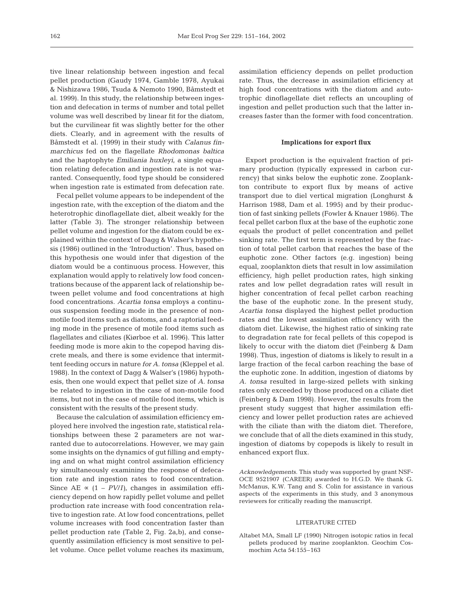tive linear relationship between ingestion and fecal pellet production (Gaudy 1974, Gamble 1978, Ayukai & Nishizawa 1986, Tsuda & Nemoto 1990, Båmstedt et al*.* 1999). In this study, the relationship between ingestion and defecation in terms of number and total pellet volume was well described by linear fit for the diatom, but the curvilinear fit was slightly better for the other diets. Clearly, and in agreement with the results of Båmstedt et al. (1999) in their study with *Calanus finmarchicus* fed on the flagellate *Rhodomonas baltica* and the haptophyte *Emiliania huxleyi*, a single equation relating defecation and ingestion rate is not warranted. Consequently, food type should be considered when ingestion rate is estimated from defecation rate.

Fecal pellet volume appears to be independent of the ingestion rate, with the exception of the diatom and the heterotrophic dinoflagellate diet, albeit weakly for the latter (Table 3). The stronger relationship between pellet volume and ingestion for the diatom could be explained within the context of Dagg & Walser's hypothesis (1986) outlined in the 'Introduction'. Thus, based on this hypothesis one would infer that digestion of the diatom would be a continuous process. However, this explanation would apply to relatively low food concentrations because of the apparent lack of relationship between pellet volume and food concentrations at high food concentrations. *Acartia tonsa* employs a continuous suspension feeding mode in the presence of nonmotile food items such as diatoms, and a raptorial feeding mode in the presence of motile food items such as flagellates and ciliates (Kiørboe et al. 1996). This latter feeding mode is more akin to the copepod having discrete meals, and there is some evidence that intermittent feeding occurs in nature *for A. tonsa* (Kleppel et al. 1988). In the context of Dagg & Walser's (1986) hypothesis, then one would expect that pellet size of *A. tonsa* be related to ingestion in the case of non-motile food items, but not in the case of motile food items, which is consistent with the results of the present study.

Because the calculation of assimilation efficiency employed here involved the ingestion rate, statistical relationships between these 2 parameters are not warranted due to autocorrelations. However, we may gain some insights on the dynamics of gut filling and emptying and on what might control assimilation efficiency by simultaneously examining the response of defecation rate and ingestion rates to food concentration. Since AE  $\propto$  (1 – *PV*/*I*), changes in assimilation efficiency depend on how rapidly pellet volume and pellet production rate increase with food concentration relative to ingestion rate. At low food concentrations, pellet volume increases with food concentration faster than pellet production rate (Table 2, Fig. 2a,b), and consequently assimilation efficiency is most sensitive to pellet volume. Once pellet volume reaches its maximum, assimilation efficiency depends on pellet production rate. Thus, the decrease in assimilation efficiency at high food concentrations with the diatom and autotrophic dinoflagellate diet reflects an uncoupling of ingestion and pellet production such that the latter increases faster than the former with food concentration.

# **Implications for export flux**

Export production is the equivalent fraction of primary production (typically expressed in carbon currency) that sinks below the euphotic zone. Zooplankton contribute to export flux by means of active transport due to diel vertical migration (Longhurst & Harrison 1988, Dam et al. 1995) and by their production of fast sinking pellets (Fowler & Knauer 1986). The fecal pellet carbon flux at the base of the euphotic zone equals the product of pellet concentration and pellet sinking rate. The first term is represented by the fraction of total pellet carbon that reaches the base of the euphotic zone. Other factors (e.g. ingestion) being equal, zooplankton diets that result in low assimilation efficiency, high pellet production rates, high sinking rates and low pellet degradation rates will result in higher concentration of fecal pellet carbon reaching the base of the euphotic zone. In the present study, *Acartia tonsa* displayed the highest pellet production rates and the lowest assimilation efficiency with the diatom diet. Likewise, the highest ratio of sinking rate to degradation rate for fecal pellets of this copepod is likely to occur with the diatom diet (Feinberg & Dam 1998). Thus, ingestion of diatoms is likely to result in a large fraction of the fecal carbon reaching the base of the euphotic zone. In addition, ingestion of diatoms by *A. tonsa* resulted in large-sized pellets with sinking rates only exceeded by those produced on a ciliate diet (Feinberg & Dam 1998). However, the results from the present study suggest that higher assimilation efficiency and lower pellet production rates are achieved with the ciliate than with the diatom diet. Therefore, we conclude that of all the diets examined in this study, ingestion of diatoms by copepods is likely to result in enhanced export flux.

*Acknowledgements.* This study was supported by grant NSF-OCE 9521907 (CAREER) awarded to H.G.D. We thank G. McManus, K.W. Tang and S. Colin for assistance in various aspects of the experiments in this study, and 3 anonymous reviewers for critically reading the manuscript.

#### LITERATURE CITED

Altabet MA, Small LF (1990) Nitrogen isotopic ratios in fecal pellets produced by marine zooplankton. Geochim Cosmochim Acta 54:155–163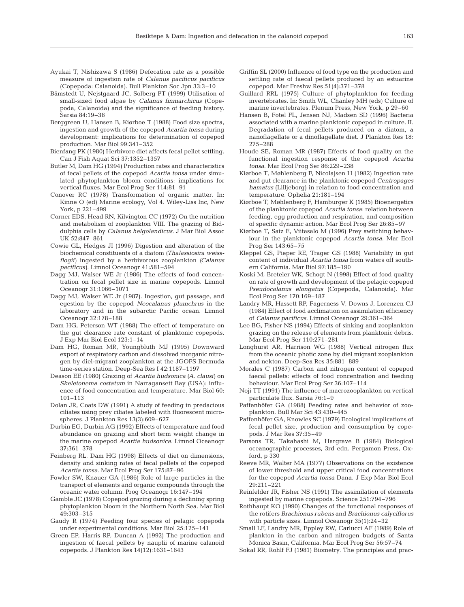- Ayukai T, Nishizawa S (1986) Defecation rate as a possible measure of ingestion rate of *Calanus pacificus pacificus* (Copepoda: Calanoida). Bull Plankton Soc Jpn 33:3–10
- Båmstedt U, Nejstgaard JC, Solberg PT (1999) Utilisation of small-sized food algae by *Calanus finmarchicus* (Copepoda, Calanoida) and the significance of feeding history. Sarsia 84:19–38
- Berggreen U, Hansen B, Kiørboe T (1988) Food size spectra, ingestion and growth of the copepod *Acartia tonsa* during development: implications for determination of copepod production. Mar Biol 99:341–352
- Bienfang PK (1980) Herbivore diet affects fecal pellet settling. Can J Fish Aquat Sci 37:1352–1357
- Butler M, Dam HG (1994) Production rates and characteristics of fecal pellets of the copepod *Acartia tonsa* under simulated phytoplankton bloom conditions: implications for vertical fluxes. Mar Ecol Prog Ser 114:81–91
- Conover RC (1978) Transformation of organic matter. In: Kinne O (ed) Marine ecology, Vol 4. Wiley-Liss Inc, New York, p 221–499
- Corner EDS, Head RN, Kilvington CC (1972) On the nutrition and metabolism of zooplankton VIII. The grazing of Biddulphia cells by *Calanus helgolandicus*. J Mar Biol Assoc UK 52:847–861
- Cowie GL, Hedges JI (1996) Digestion and alteration of the biochemical constituents of a diatom *(Thalassiosira weissflogii)* ingested by a herbivorous zooplankton *(Calanus pacificus)*. Limnol Oceanogr 41:581–594
- Dagg MJ, Walser WE Jr (1986) The effects of food concentration on fecal pellet size in marine copepods. Limnol Oceanogr 31:1066–1071
- Dagg MJ, Walser WE Jr (1987). Ingestion, gut passage, and egestion by the copepod *Neocalanus plumchrus* in the laboratory and in the subarctic Pacific ocean. Limnol Oceanogr 32:178–188
- Dam HG, Peterson WT (1988) The effect of temperature on the gut clearance rate constant of planktonic copepods. J Exp Mar Biol Ecol 123:1–14
- Dam HG, Roman MR, Youngbluth MJ (1995) Downward export of respiratory carbon and dissolved inorganic nitrogen by diel-migrant zooplankton at the JGOFS Bermuda time-series station. Deep-Sea Res I 42:1187–1197
- Deason EE (1980) Grazing of *Acartia hudsonica (A. clausi)* on *Skeletonema costatum* in Narragansett Bay (USA): influence of food concentration and temperature. Mar Biol 60: 101–113
- Dolan JR, Coats DW (1991) A study of feeding in predacious ciliates using prey ciliates labeled with fluorescent microspheres. J Plankton Res 13(3):609–627
- Durbin EG, Durbin AG (1992) Effects of temperature and food abundance on grazing and short term weight change in the marine copepod *Acartia hudsonica*. Limnol Oceanogr 37:361–378
- Feinberg RL, Dam HG (1998) Effects of diet on dimensions, density and sinking rates of fecal pellets of the copepod *Acartia tonsa*. Mar Ecol Prog Ser 175:87–96
- Fowler SW, Knauer GA (1986) Role of large particles in the transport of elements and organic compounds through the oceanic water column. Prog Oceanogr 16:147–194
- Gamble JC (1978) Copepod grazing during a declining spring phytoplankton bloom in the Northern North Sea. Mar Biol 49:303–315
- Gaudy R (1974) Feeding four species of pelagic copepods under experimental conditions. Mar Biol 25:125–141
- Green EP, Harris RP, Duncan A (1992) The production and ingestion of faecal pellets by nauplii of marine calanoid copepods. J Plankton Res 14(12):1631–1643
- Griffin SL (2000) Influence of food type on the production and settling rate of faecal pellets produced by an estuarine copepod. Mar Freshw Res 51(4):371–378
- Guillard RRL (1975) Culture of phytoplankton for feeding invertebrates. In: Smith WL, Chanley MH (eds) Culture of marine invertebrates. Plenum Press, New York, p 29–60
- Hansen B, Fotel FL, Jensen NJ, Madsen SD (1996) Bacteria associated with a marine planktonic copepod in culture. II. Degradation of fecal pellets produced on a diatom, a nanoflagellate or a dinoflagellate diet. J Plankton Res 18: 275–288
- Houde SE, Roman MR (1987) Effects of food quality on the functional ingestion response of the copepod *Acartia tonsa*. Mar Ecol Prog Ser 86:229–238
- Kiørboe T, Møhlenberg F, Nicolajsen H (1982) Ingestion rate and gut clearance in the planktonic copepod *Centropages hamatus* (Lilljeborg) in relation to food concentration and temperature. Ophelia 21:181–194
- Kiørboe T, Møhlenberg F, Hamburger K (1985) Bioenergetics of the planktonic copepod *Acartia tonsa*: relation between feeding, egg production and respiration, and composition of specific dynamic action. Mar Ecol Prog Ser 26:85–97
- Kiørboe T, Saiz E, Viitasalo M (1996) Prey switching behaviour in the planktonic copepod *Acartia tonsa*. Mar Ecol Prog Ser 143:65–75
- Kleppel GS, Pieper RE, Trager GS (1988) Variability in gut content of individual *Acartia tonsa* from waters off southern California. Mar Biol 97:185–190
- Koski M, Breteler WK, Schogt N (1998) Effect of food quality on rate of growth and development of the pelagic copepod *Pseudocalanus elongatus* (Copepoda, Calanoida). Mar Ecol Prog Ser 170:169–187
- Landry MR, Hassett RP, Fagerness V, Downs J, Lorenzen CJ (1984) Effect of food acclimation on assimilation efficiency of *Calanus pacificus*. Limnol Oceanogr 29:361–364
- Lee BG, Fisher NS (1994) Effects of sinking and zooplankton grazing on the release of elements from planktonic debris. Mar Ecol Prog Ser 110:271–281
- Longhurst AR, Harrison WG (1988) Vertical nitrogen flux from the oceanic photic zone by diel migrant zooplankton and nekton. Deep-Sea Res 35:881–889
- Morales C (1987) Carbon and nitrogen content of copepod faecal pellets: effects of food concentration and feeding behaviour. Mar Ecol Prog Ser 36:107–114
- Noji TT (1991) The influence of macrozooplankton on vertical particulate flux. Sarsia 76:1–9
- Paffenhöfer GA (1988) Feeding rates and behavior of zooplankton. Bull Mar Sci 43:430–445
- Paffenhöfer GA, Knowles SC (1979) Ecological implications of fecal pellet size, production and consumption by copepods. J Mar Res 37:35–49
- Parsons TR, Takahashi M, Hargrave B (1984) Biological oceanographic processes, 3rd edn. Pergamon Press, Oxford, p 330
- Reeve MR, Walter MA (1977) Observations on the existence of lower threshold and upper critical food concentrations for the copepod *Acartia tonsa* Dana. J Exp Mar Biol Ecol 29:211–221
- Reinfelder JR, Fisher NS (1991) The assimilation of elements ingested by marine copepods. Science 251:794–796
- Rothhaupt KO (1990) Changes of the functional responses of the rotifers *Brachionus rubens* and *Brachionus calyciflorus* with particle sizes. Limnol Oceanogr 35(1):24–32
- Small LF, Landry MR, Eppley RW, Carlucci AF (1989) Role of plankton in the carbon and nitrogen budgets of Santa Monica Basin, California. Mar Ecol Prog Ser 56:57–74
- Sokal RR, Rohlf FJ (1981) Biometry. The principles and prac-